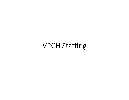# VPCH Staffing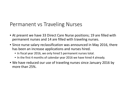## Permanent vs Traveling Nurses

- At present we have 33 Direct Care Nurse positions; 19 are filled with permanent nurses and 14 are filled with traveling nurses.
- Since nurse salary reclassification was announced in May 2016, there has been an increase applications and nurses hired.
	- In fiscal year 2016, we only hired 5 permanent nurses total.
	- In the first 4 months of calendar year 2016 we have hired 4 already.
- We have reduced our use of traveling nurses since January 2016 by more than 25%.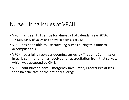## Nurse Hiring Issues at VPCH

- VPCH has been full census for almost all of calendar year 2016.
	- Occupancy of 98.2% and an average census of 24.5.
- VPCH has been able to use traveling nurses during this time to accomplish this.
- VPCH had a full three-year deeming survey by The Joint Commission in early summer and has received full accreditation from that survey, which was accepted by CMS.
- VPCH continues to have Emergency Involuntary Procedures at less than half the rate of the national average.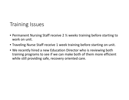## Training Issues

- Permanent Nursing Staff receive 2  $\frac{1}{2}$  weeks training before starting to work on unit.
- Traveling Nurse Staff receive 1 week training before starting on unit.
- We recently hired a new Education Director who is reviewing both training programs to see if we can make both of them more efficient while still providing safe, recovery oriented care.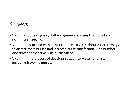#### Surveys

- VPCH has done ongoing staff engagement surveys that for all staff, not nursing specific.
- VPCH brainstormed with all VPCH nurses in 2015 about different ways to attract more nurses and increase nurse satisfaction. The numberone driver at that time was nurse salary.
- VPCH is in the process of developing exit interviews for all staff including traveling nurses.